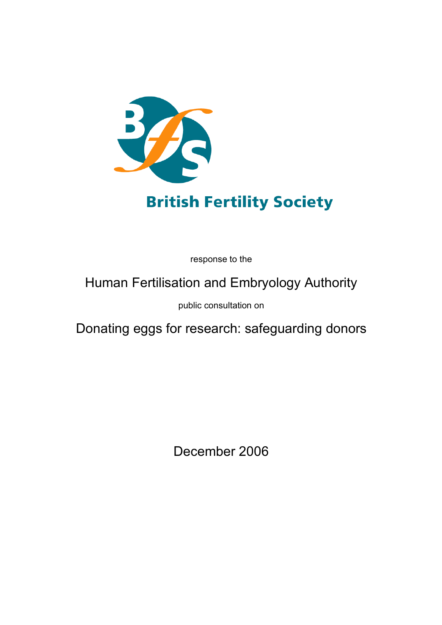

# **British Fertility Society**

response to the

# Human Fertilisation and Embryology Authority

public consultation on

Donating eggs for research: safeguarding donors

December 2006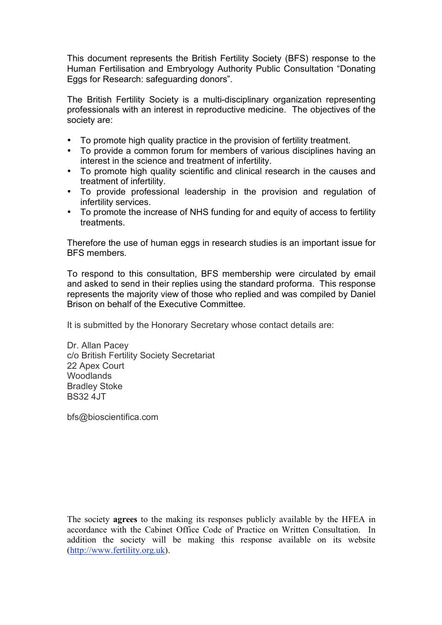This document represents the British Fertility Society (BFS) response to the Human Fertilisation and Embryology Authority Public Consultation "Donating Eggs for Research: safeguarding donors".

The British Fertility Society is a multi-disciplinary organization representing professionals with an interest in reproductive medicine. The objectives of the society are:

- To promote high quality practice in the provision of fertility treatment.
- To provide a common forum for members of various disciplines having an interest in the science and treatment of infertility.
- To promote high quality scientific and clinical research in the causes and treatment of infertility.
- To provide professional leadership in the provision and regulation of infertility services.
- To promote the increase of NHS funding for and equity of access to fertility treatments.

Therefore the use of human eggs in research studies is an important issue for BFS members.

To respond to this consultation, BFS membership were circulated by email and asked to send in their replies using the standard proforma. This response represents the majority view of those who replied and was compiled by Daniel Brison on behalf of the Executive Committee.

It is submitted by the Honorary Secretary whose contact details are:

Dr. Allan Pacey c/o British Fertility Society Secretariat 22 Apex Court **Woodlands** Bradley Stoke BS32 4JT

bfs@bioscientifica.com

The society **agrees** to the making its responses publicly available by the HFEA in accordance with the Cabinet Office Code of Practice on Written Consultation. In addition the society will be making this response available on its website (http://www.fertility.org.uk).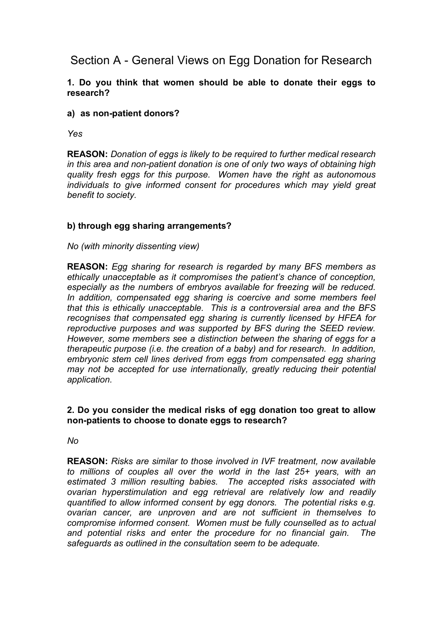# Section A - General Views on Egg Donation for Research

## **1. Do you think that women should be able to donate their eggs to research?**

#### **a) as non-patient donors?**

*Yes*

**REASON:** *Donation of eggs is likely to be required to further medical research in this area and non-patient donation is one of only two ways of obtaining high quality fresh eggs for this purpose. Women have the right as autonomous individuals to give informed consent for procedures which may yield great benefit to society.*

## **b) through egg sharing arrangements?**

#### *No (with minority dissenting view)*

**REASON:** *Egg sharing for research is regarded by many BFS members as ethically unacceptable as it compromises the patient's chance of conception, especially as the numbers of embryos available for freezing will be reduced. In addition, compensated egg sharing is coercive and some members feel that this is ethically unacceptable. This is a controversial area and the BFS recognises that compensated egg sharing is currently licensed by HFEA for reproductive purposes and was supported by BFS during the SEED review. However, some members see a distinction between the sharing of eggs for a therapeutic purpose (i.e. the creation of a baby) and for research. In addition, embryonic stem cell lines derived from eggs from compensated egg sharing may not be accepted for use internationally, greatly reducing their potential application.*

#### **2. Do you consider the medical risks of egg donation too great to allow non-patients to choose to donate eggs to research?**

*No*

**REASON:** *Risks are similar to those involved in IVF treatment, now available to millions of couples all over the world in the last 25+ years, with an estimated 3 million resulting babies. The accepted risks associated with ovarian hyperstimulation and egg retrieval are relatively low and readily quantified to allow informed consent by egg donors. The potential risks e.g. ovarian cancer, are unproven and are not sufficient in themselves to compromise informed consent. Women must be fully counselled as to actual and potential risks and enter the procedure for no financial gain. The safeguards as outlined in the consultation seem to be adequate.*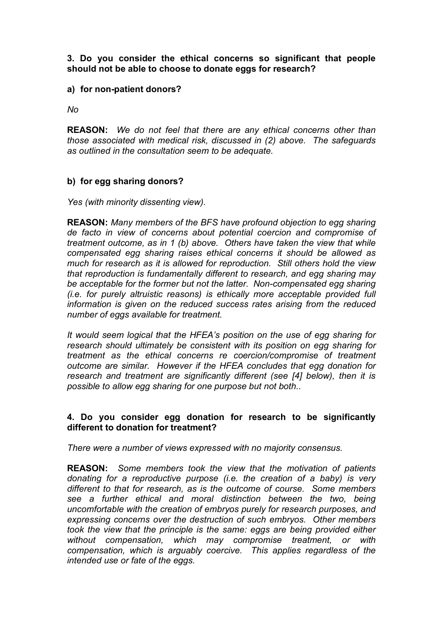## **3. Do you consider the ethical concerns so significant that people should not be able to choose to donate eggs for research?**

#### **a) for non-patient donors?**

*No*

**REASON:** *We do not feel that there are any ethical concerns other than those associated with medical risk, discussed in (2) above. The safeguards as outlined in the consultation seem to be adequate.*

#### **b) for egg sharing donors?**

*Yes (with minority dissenting view).*

**REASON:** *Many members of the BFS have profound objection to egg sharing de facto in view of concerns about potential coercion and compromise of treatment outcome, as in 1 (b) above. Others have taken the view that while compensated egg sharing raises ethical concerns it should be allowed as much for research as it is allowed for reproduction. Still others hold the view that reproduction is fundamentally different to research, and egg sharing may be acceptable for the former but not the latter. Non-compensated egg sharing (i.e. for purely altruistic reasons) is ethically more acceptable provided full information is given on the reduced success rates arising from the reduced number of eggs available for treatment.*

*It would seem logical that the HFEA's position on the use of egg sharing for research should ultimately be consistent with its position on egg sharing for treatment as the ethical concerns re coercion/compromise of treatment outcome are similar. However if the HFEA concludes that egg donation for research and treatment are significantly different (see [4] below), then it is possible to allow egg sharing for one purpose but not both..*

## **4. Do you consider egg donation for research to be significantly different to donation for treatment?**

*There were a number of views expressed with no majority consensus.*

**REASON:** *Some members took the view that the motivation of patients donating for a reproductive purpose (i.e. the creation of a baby) is very different to that for research, as is the outcome of course. Some members see a further ethical and moral distinction between the two, being uncomfortable with the creation of embryos purely for research purposes, and expressing concerns over the destruction of such embryos. Other members took the view that the principle is the same: eggs are being provided either without compensation, which may compromise treatment, or with compensation, which is arguably coercive. This applies regardless of the intended use or fate of the eggs.*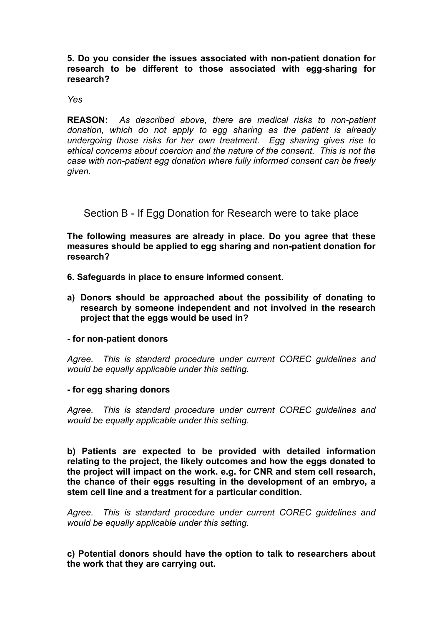#### **5. Do you consider the issues associated with non-patient donation for research to be different to those associated with egg-sharing for research?**

#### *Yes*

**REASON:** *As described above, there are medical risks to non-patient donation, which do not apply to egg sharing as the patient is already undergoing those risks for her own treatment. Egg sharing gives rise to ethical concerns about coercion and the nature of the consent. This is not the case with non-patient egg donation where fully informed consent can be freely given.*

# Section B - If Egg Donation for Research were to take place

**The following measures are already in place. Do you agree that these measures should be applied to egg sharing and non-patient donation for research?**

- **6. Safeguards in place to ensure informed consent.**
- **a) Donors should be approached about the possibility of donating to research by someone independent and not involved in the research project that the eggs would be used in?**

#### **- for non-patient donors**

*Agree. This is standard procedure under current COREC guidelines and would be equally applicable under this setting.*

#### **- for egg sharing donors**

*Agree. This is standard procedure under current COREC guidelines and would be equally applicable under this setting.*

**b) Patients are expected to be provided with detailed information relating to the project, the likely outcomes and how the eggs donated to the project will impact on the work. e.g. for CNR and stem cell research, the chance of their eggs resulting in the development of an embryo, a stem cell line and a treatment for a particular condition.**

*Agree. This is standard procedure under current COREC guidelines and would be equally applicable under this setting.*

**c) Potential donors should have the option to talk to researchers about the work that they are carrying out.**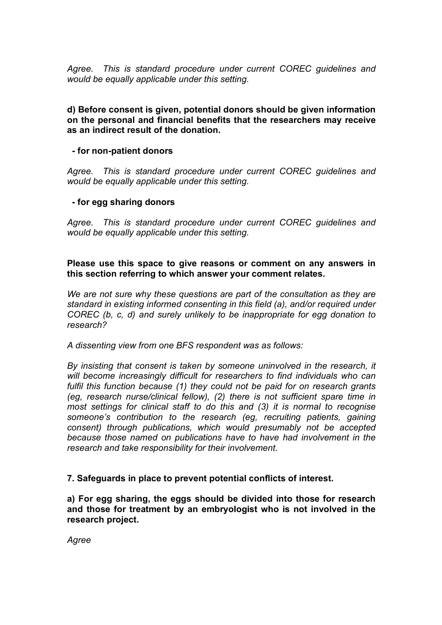*Agree. This is standard procedure under current COREC guidelines and would be equally applicable under this setting.*

#### **d) Before consent is given, potential donors should be given information on the personal and financial benefits that the researchers may receive as an indirect result of the donation.**

## **- for non-patient donors**

*Agree. This is standard procedure under current COREC guidelines and would be equally applicable under this setting.*

## **- for egg sharing donors**

*Agree. This is standard procedure under current COREC guidelines and would be equally applicable under this setting.*

## **Please use this space to give reasons or comment on any answers in this section referring to which answer your comment relates.**

*We are not sure why these questions are part of the consultation as they are standard in existing informed consenting in this field (a), and/or required under COREC (b, c, d) and surely unlikely to be inappropriate for egg donation to research?*

*A dissenting view from one BFS respondent was as follows:*

*By insisting that consent is taken by someone uninvolved in the research, it will become increasingly difficult for researchers to find individuals who can fulfil this function because (1) they could not be paid for on research grants (eg, research nurse/clinical fellow), (2) there is not sufficient spare time in most settings for clinical staff to do this and (3) it is normal to recognise someone's contribution to the research (eg, recruiting patients, gaining consent) through publications, which would presumably not be accepted because those named on publications have to have had involvement in the research and take responsibility for their involvement.*

# **7. Safeguards in place to prevent potential conflicts of interest.**

**a) For egg sharing, the eggs should be divided into those for research and those for treatment by an embryologist who is not involved in the research project.**

*Agree*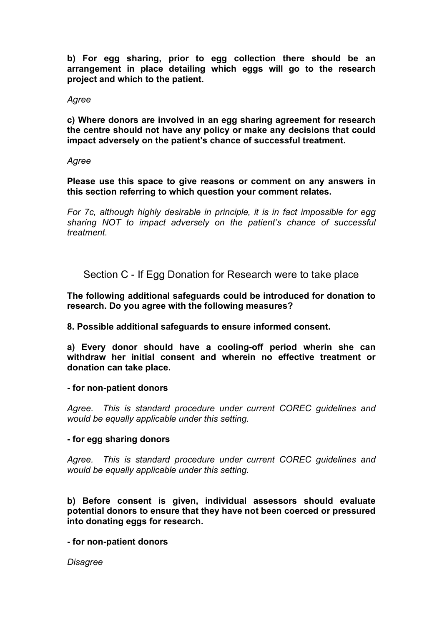**b) For egg sharing, prior to egg collection there should be an arrangement in place detailing which eggs will go to the research project and which to the patient.**

#### *Agree*

**c) Where donors are involved in an egg sharing agreement for research the centre should not have any policy or make any decisions that could impact adversely on the patient's chance of successful treatment.**

#### *Agree*

**Please use this space to give reasons or comment on any answers in this section referring to which question your comment relates.**

*For 7c, although highly desirable in principle, it is in fact impossible for egg sharing NOT to impact adversely on the patient's chance of successful treatment.*

Section C - If Egg Donation for Research were to take place

**The following additional safeguards could be introduced for donation to research. Do you agree with the following measures?**

**8. Possible additional safeguards to ensure informed consent.**

**a) Every donor should have a cooling-off period wherin she can withdraw her initial consent and wherein no effective treatment or donation can take place.**

#### **- for non-patient donors**

*Agree. This is standard procedure under current COREC guidelines and would be equally applicable under this setting.*

#### **- for egg sharing donors**

*Agree. This is standard procedure under current COREC guidelines and would be equally applicable under this setting.*

**b) Before consent is given, individual assessors should evaluate potential donors to ensure that they have not been coerced or pressured into donating eggs for research.**

**- for non-patient donors**

*Disagree*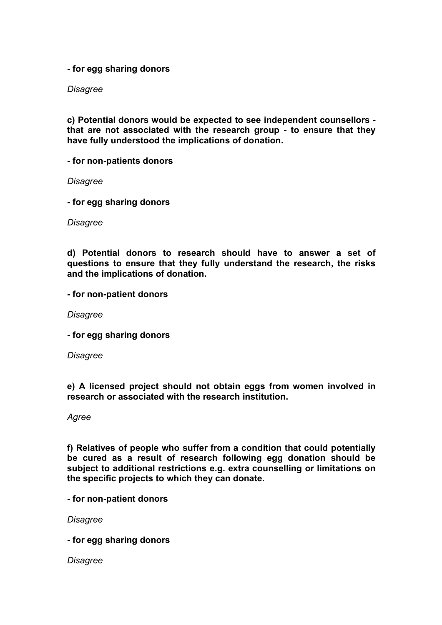**- for egg sharing donors**

*Disagree*

**c) Potential donors would be expected to see independent counsellors that are not associated with the research group - to ensure that they have fully understood the implications of donation.**

**- for non-patients donors**

*Disagree*

**- for egg sharing donors**

*Disagree*

**d) Potential donors to research should have to answer a set of questions to ensure that they fully understand the research, the risks and the implications of donation.**

**- for non-patient donors**

*Disagree*

**- for egg sharing donors**

*Disagree*

**e) A licensed project should not obtain eggs from women involved in research or associated with the research institution.**

*Agree*

**f) Relatives of people who suffer from a condition that could potentially be cured as a result of research following egg donation should be subject to additional restrictions e.g. extra counselling or limitations on the specific projects to which they can donate.**

**- for non-patient donors**

*Disagree*

**- for egg sharing donors**

*Disagree*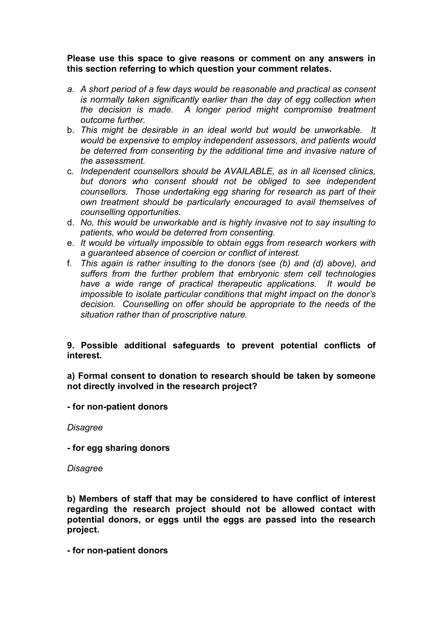#### **Please use this space to give reasons or comment on any answers in this section referring to which question your comment relates.**

- *a. A short period of a few days would be reasonable and practical as consent is normally taken significantly earlier than the day of egg collection when the decision is made. A longer period might compromise treatment outcome further.*
- b. *This might be desirable in an ideal world but would be unworkable. It would be expensive to employ independent assessors, and patients would be deterred from consenting by the additional time and invasive nature of the assessment.*
- c. *Independent counsellors should be AVAILABLE, as in all licensed clinics, but donors who consent should not be obliged to see independent counsellors. Those undertaking egg sharing for research as part of their own treatment should be particularly encouraged to avail themselves of counselling opportunities.*
- d. *No, this would be unworkable and is highly invasive not to say insulting to patients, who would be deterred from consenting.*
- e. *It would be virtually impossible to obtain eggs from research workers with a guaranteed absence of coercion or conflict of interest.*
- f. *This again is rather insulting to the donors (see (b) and (d) above), and suffers from the further problem that embryonic stem cell technologies have a wide range of practical therapeutic applications. It would be impossible to isolate particular conditions that might impact on the donor's decision. Counselling on offer should be appropriate to the needs of the situation rather than of proscriptive nature.*

# **9. Possible additional safeguards to prevent potential conflicts of interest.**

**a) Formal consent to donation to research should be taken by someone not directly involved in the research project?**

**- for non-patient donors**

*Disagree*

**- for egg sharing donors**

*Disagree*

**b) Members of staff that may be considered to have conflict of interest regarding the research project should not be allowed contact with potential donors, or eggs until the eggs are passed into the research project.**

**- for non-patient donors**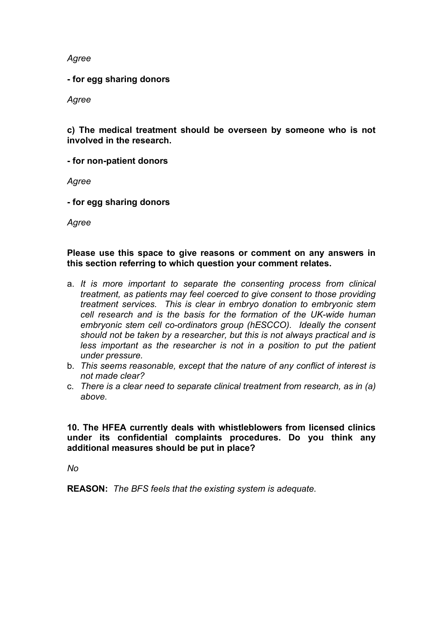*Agree*

**- for egg sharing donors**

*Agree*

**c) The medical treatment should be overseen by someone who is not involved in the research.**

**- for non-patient donors**

*Agree*

**- for egg sharing donors**

*Agree*

#### **Please use this space to give reasons or comment on any answers in this section referring to which question your comment relates.**

- a. *It is more important to separate the consenting process from clinical treatment, as patients may feel coerced to give consent to those providing treatment services. This is clear in embryo donation to embryonic stem cell research and is the basis for the formation of the UK-wide human embryonic stem cell co-ordinators group (hESCCO). Ideally the consent should not be taken by a researcher, but this is not always practical and is less important as the researcher is not in a position to put the patient under pressure.*
- b. *This seems reasonable, except that the nature of any conflict of interest is not made clear?*
- c. *There is a clear need to separate clinical treatment from research, as in (a) above.*

#### **10. The HFEA currently deals with whistleblowers from licensed clinics under its confidential complaints procedures. Do you think any additional measures should be put in place?**

*No*

**REASON:** *The BFS feels that the existing system is adequate.*